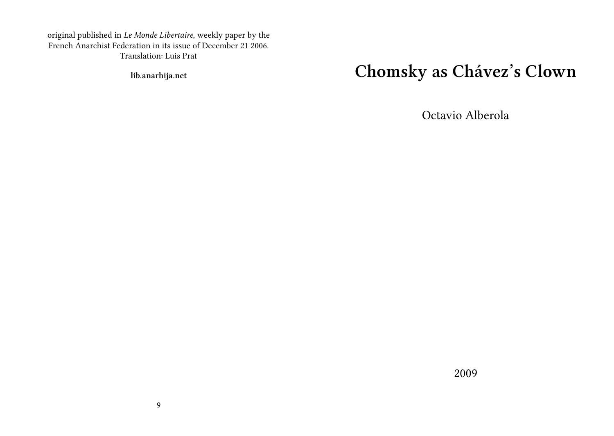original published in *Le Monde Libertaire*, weekly paper by the French Anarchist Federation in its issue of December 21 2006. Translation: Luis Prat

**lib.anarhija.net**

## **Chomsky as Chávez's Clown**

Octavio Alberola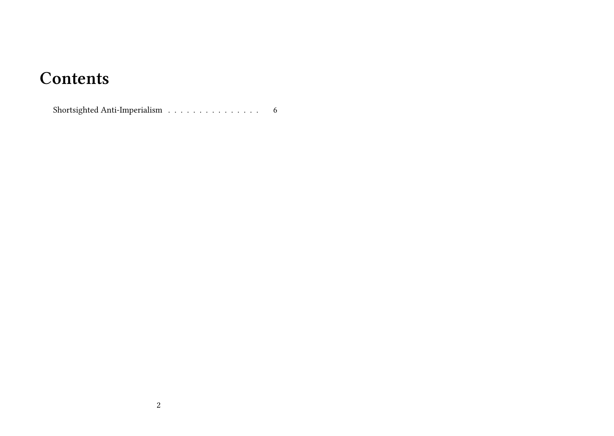## **Contents**

 $\label{eq:shortsighted} {\rm Shortsighted \; Anti-Imperialism} \quad . \quad . \quad . \quad . \quad . \quad . \quad . \quad . \quad . \quad . \quad . \quad .$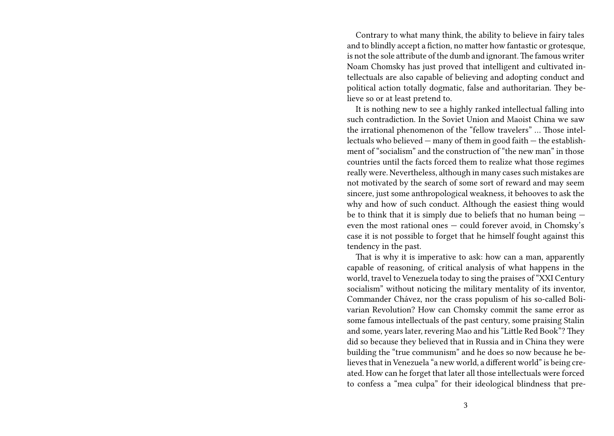Contrary to what many think, the ability to believe in fairy tales and to blindly accept a fiction, no matter how fantastic or grotesque, is not the sole attribute of the dumb and ignorant.The famous writer Noam Chomsky has just proved that intelligent and cultivated intellectuals are also capable of believing and adopting conduct and political action totally dogmatic, false and authoritarian. They believe so or at least pretend to.

It is nothing new to see a highly ranked intellectual falling into such contradiction. In the Soviet Union and Maoist China we saw the irrational phenomenon of the "fellow travelers" … Those intellectuals who believed — many of them in good faith — the establishment of "socialism" and the construction of "the new man" in those countries until the facts forced them to realize what those regimes really were. Nevertheless, although in many cases such mistakes are not motivated by the search of some sort of reward and may seem sincere, just some anthropological weakness, it behooves to ask the why and how of such conduct. Although the easiest thing would be to think that it is simply due to beliefs that no human being even the most rational ones — could forever avoid, in Chomsky's case it is not possible to forget that he himself fought against this tendency in the past.

That is why it is imperative to ask: how can a man, apparently capable of reasoning, of critical analysis of what happens in the world, travel to Venezuela today to sing the praises of "XXI Century socialism" without noticing the military mentality of its inventor, Commander Chávez, nor the crass populism of his so-called Bolivarian Revolution? How can Chomsky commit the same error as some famous intellectuals of the past century, some praising Stalin and some, years later, revering Mao and his "Little Red Book"? They did so because they believed that in Russia and in China they were building the "true communism" and he does so now because he believes that in Venezuela "a new world, a different world" is being created. How can he forget that later all those intellectuals were forced to confess a "mea culpa" for their ideological blindness that pre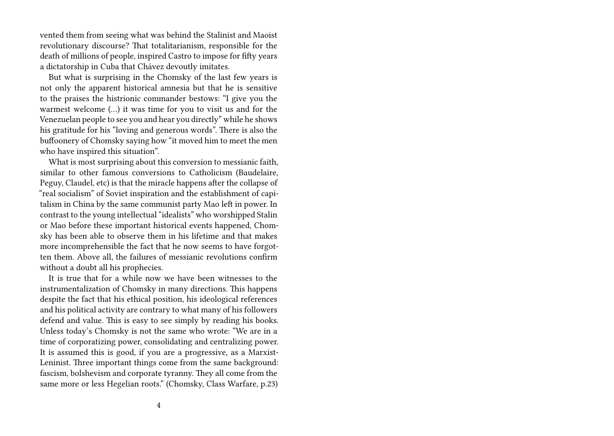vented them from seeing what was behind the Stalinist and Maoist revolutionary discourse? That totalitarianism, responsible for the death of millions of people, inspired Castro to impose for fifty years a dictatorship in Cuba that Chávez devoutly imitates.

But what is surprising in the Chomsky of the last few years is not only the apparent historical amnesia but that he is sensitive to the praises the histrionic commander bestows: "I give you the warmest welcome (…) it was time for you to visit us and for the Venezuelan people to see you and hear you directly" while he shows his gratitude for his "loving and generous words". There is also the buffoonery of Chomsky saying how "it moved him to meet the men who have inspired this situation".

What is most surprising about this conversion to messianic faith, similar to other famous conversions to Catholicism (Baudelaire, Peguy, Claudel, etc) is that the miracle happens after the collapse of "real socialism" of Soviet inspiration and the establishment of capitalism in China by the same communist party Mao left in power. In contrast to the young intellectual "idealists" who worshipped Stalin or Mao before these important historical events happened, Chomsky has been able to observe them in his lifetime and that makes more incomprehensible the fact that he now seems to have forgotten them. Above all, the failures of messianic revolutions confirm without a doubt all his prophecies.

It is true that for a while now we have been witnesses to the instrumentalization of Chomsky in many directions. This happens despite the fact that his ethical position, his ideological references and his political activity are contrary to what many of his followers defend and value. This is easy to see simply by reading his books. Unless today's Chomsky is not the same who wrote: "We are in a time of corporatizing power, consolidating and centralizing power. It is assumed this is good, if you are a progressive, as a Marxist-Leninist. Three important things come from the same background: fascism, bolshevism and corporate tyranny. They all come from the same more or less Hegelian roots." (Chomsky, Class Warfare, p.23)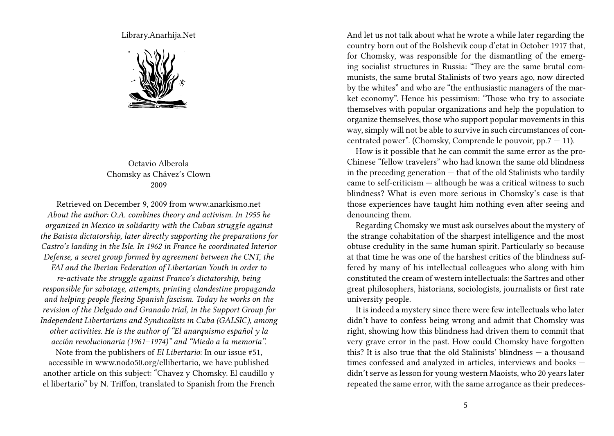Library.Anarhija.Net



## Octavio Alberola Chomsky as Chávez's Clown 2009

Retrieved on December 9, 2009 from www.anarkismo.net *About the author: O.A. combines theory and activism. In 1955 he organized in Mexico in solidarity with the Cuban struggle against the Batista dictatorship, later directly supporting the preparations for Castro's landing in the Isle. In 1962 in France he coordinated Interior Defense, a secret group formed by agreement between the CNT, the FAI and the Iberian Federation of Libertarian Youth in order to re-activate the struggle against Franco's dictatorship, being responsible for sabotage, attempts, printing clandestine propaganda and helping people fleeing Spanish fascism. Today he works on the revision of the Delgado and Granado trial, in the Support Group for Independent Libertarians and Syndicalists in Cuba (GALSIC), among other activities. He is the author of "El anarquismo español y la acción revolucionaria (1961–1974)" and "Miedo a la memoria".* Note from the publishers of *El Libertario*: In our issue #51, accessible in www.nodo50.org/ellibertario, we have published

another article on this subject: "Chavez y Chomsky. El caudillo y el libertario" by N. Triffon, translated to Spanish from the French And let us not talk about what he wrote a while later regarding the country born out of the Bolshevik coup d'etat in October 1917 that, for Chomsky, was responsible for the dismantling of the emerging socialist structures in Russia: "They are the same brutal communists, the same brutal Stalinists of two years ago, now directed by the whites" and who are "the enthusiastic managers of the market economy". Hence his pessimism: "Those who try to associate themselves with popular organizations and help the population to organize themselves, those who support popular movements in this way, simply will not be able to survive in such circumstances of concentrated power". (Chomsky, Comprende le pouvoir,  $pp.7 - 11$ ).

How is it possible that he can commit the same error as the pro-Chinese "fellow travelers" who had known the same old blindness in the preceding generation  $-$  that of the old Stalinists who tardily came to self-criticism — although he was a critical witness to such blindness? What is even more serious in Chomsky's case is that those experiences have taught him nothing even after seeing and denouncing them.

Regarding Chomsky we must ask ourselves about the mystery of the strange cohabitation of the sharpest intelligence and the most obtuse credulity in the same human spirit. Particularly so because at that time he was one of the harshest critics of the blindness suffered by many of his intellectual colleagues who along with him constituted the cream of western intellectuals: the Sartres and other great philosophers, historians, sociologists, journalists or first rate university people.

It is indeed a mystery since there were few intellectuals who later didn't have to confess being wrong and admit that Chomsky was right, showing how this blindness had driven them to commit that very grave error in the past. How could Chomsky have forgotten this? It is also true that the old Stalinists' blindness — a thousand times confessed and analyzed in articles, interviews and books didn't serve as lesson for young western Maoists, who 20 years later repeated the same error, with the same arrogance as their predeces